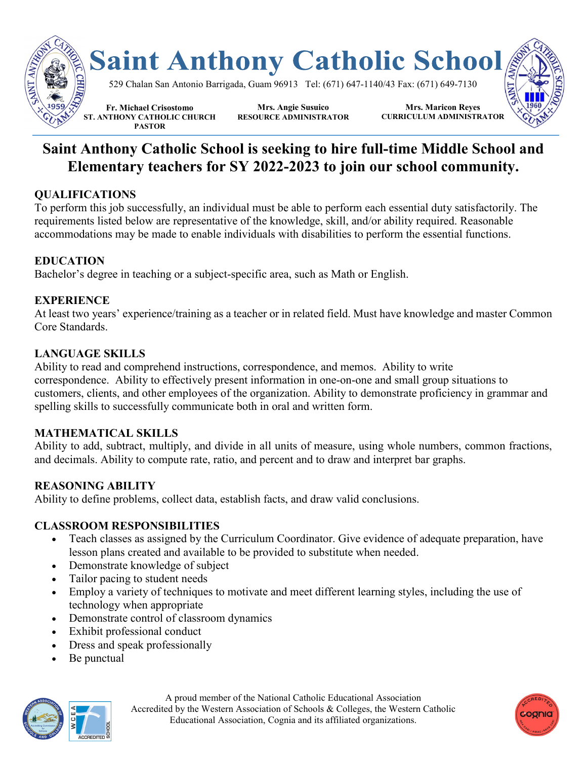

# **Saint Anthony Catholic School is seeking to hire full-time Middle School and Elementary teachers for SY 2022-2023 to join our school community.**

## **QUALIFICATIONS**

To perform this job successfully, an individual must be able to perform each essential duty satisfactorily. The requirements listed below are representative of the knowledge, skill, and/or ability required. Reasonable accommodations may be made to enable individuals with disabilities to perform the essential functions.

## **EDUCATION**

Bachelor's degree in teaching or a subject-specific area, such as Math or English.

## **EXPERIENCE**

At least two years' experience/training as a teacher or in related field. Must have knowledge and master Common Core Standards.

## **LANGUAGE SKILLS**

Ability to read and comprehend instructions, correspondence, and memos. Ability to write correspondence. Ability to effectively present information in one-on-one and small group situations to customers, clients, and other employees of the organization. Ability to demonstrate proficiency in grammar and spelling skills to successfully communicate both in oral and written form.

#### **MATHEMATICAL SKILLS**

Ability to add, subtract, multiply, and divide in all units of measure, using whole numbers, common fractions, and decimals. Ability to compute rate, ratio, and percent and to draw and interpret bar graphs.

# **REASONING ABILITY**

Ability to define problems, collect data, establish facts, and draw valid conclusions.

#### **CLASSROOM RESPONSIBILITIES**

- Teach classes as assigned by the Curriculum Coordinator. Give evidence of adequate preparation, have lesson plans created and available to be provided to substitute when needed.
- Demonstrate knowledge of subject
- Tailor pacing to student needs
- Employ a variety of techniques to motivate and meet different learning styles, including the use of technology when appropriate
- Demonstrate control of classroom dynamics
- Exhibit professional conduct
- Dress and speak professionally
- Be punctual